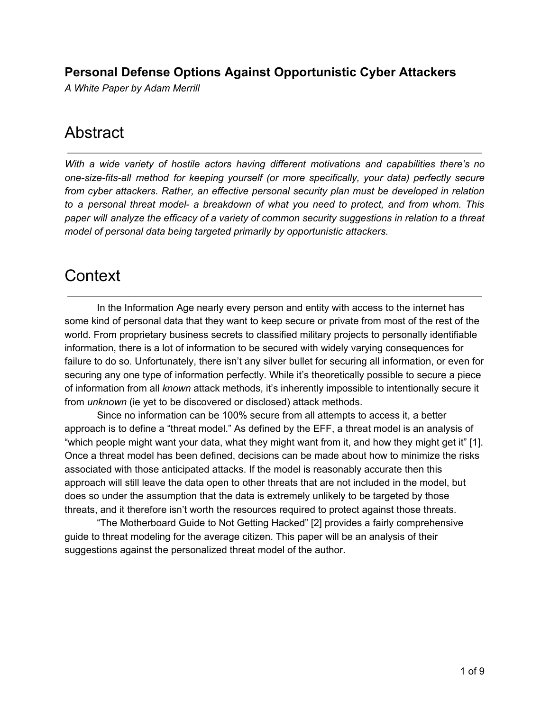### **Personal Defense Options Against Opportunistic Cyber Attackers**

*A White Paper by Adam Merrill*

# Abstract

*With a wide variety of hostile actors having different motivations and capabilities there's no one-size-fits-all method for keeping yourself (or more specifically, your data) perfectly secure from cyber attackers. Rather, an effective personal security plan must be developed in relation to a personal threat model- a breakdown of what you need to protect, and from whom. This paper will analyze the efficacy of a variety of common security suggestions in relation to a threat model of personal data being targeted primarily by opportunistic attackers.*

# **Context**

In the Information Age nearly every person and entity with access to the internet has some kind of personal data that they want to keep secure or private from most of the rest of the world. From proprietary business secrets to classified military projects to personally identifiable information, there is a lot of information to be secured with widely varying consequences for failure to do so. Unfortunately, there isn't any silver bullet for securing all information, or even for securing any one type of information perfectly. While it's theoretically possible to secure a piece of information from all *known* attack methods, it's inherently impossible to intentionally secure it from *unknown* (ie yet to be discovered or disclosed) attack methods.

Since no information can be 100% secure from all attempts to access it, a better approach is to define a "threat model." As defined by the EFF, a threat model is an analysis of "which people might want your data, what they might want from it, and how they might get it" [1]. Once a threat model has been defined, decisions can be made about how to minimize the risks associated with those anticipated attacks. If the model is reasonably accurate then this approach will still leave the data open to other threats that are not included in the model, but does so under the assumption that the data is extremely unlikely to be targeted by those threats, and it therefore isn't worth the resources required to protect against those threats.

"The Motherboard Guide to Not Getting Hacked" [2] provides a fairly comprehensive guide to threat modeling for the average citizen. This paper will be an analysis of their suggestions against the personalized threat model of the author.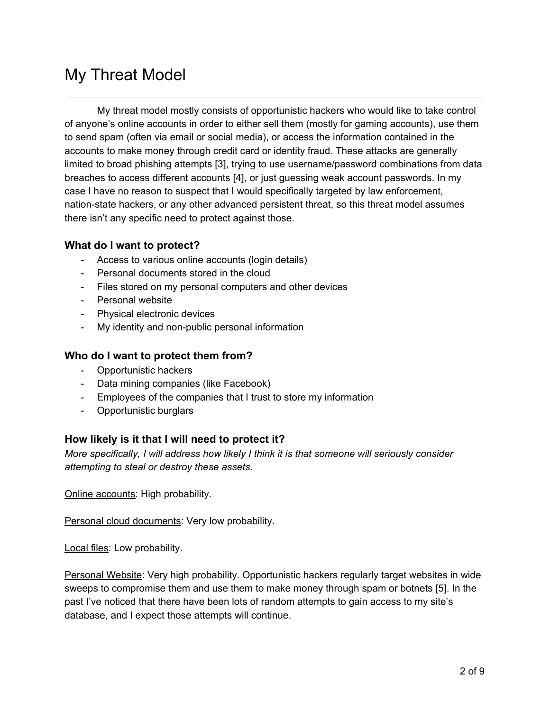# My Threat Model

My threat model mostly consists of opportunistic hackers who would like to take control of anyone's online accounts in order to either sell them (mostly for gaming accounts), use them to send spam (often via email or social media), or access the information contained in the accounts to make money through credit card or identity fraud. These attacks are generally limited to broad phishing attempts [3], trying to use username/password combinations from data breaches to access different accounts [4], or just guessing weak account passwords. In my case I have no reason to suspect that I would specifically targeted by law enforcement, nation-state hackers, or any other advanced persistent threat, so this threat model assumes there isn't any specific need to protect against those.

### **What do I want to protect?**

- Access to various online accounts (login details)
- Personal documents stored in the cloud
- Files stored on my personal computers and other devices
- Personal website
- Physical electronic devices
- My identity and non-public personal information

### **Who do I want to protect them from?**

- Opportunistic hackers
- Data mining companies (like Facebook)
- Employees of the companies that I trust to store my information
- Opportunistic burglars

### **How likely is it that I will need to protect it?**

*More specifically, I will address how likely I think it is that someone will seriously consider attempting to steal or destroy these assets.*

Online accounts: High probability.

Personal cloud documents: Very low probability.

Local files: Low probability.

Personal Website: Very high probability. Opportunistic hackers regularly target websites in wide sweeps to compromise them and use them to make money through spam or botnets [5]. In the past I've noticed that there have been lots of random attempts to gain access to my site's database, and I expect those attempts will continue.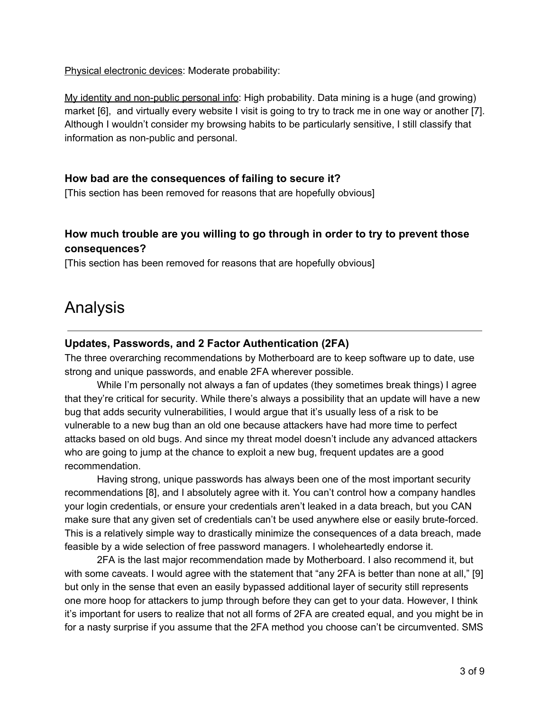Physical electronic devices: Moderate probability:

My identity and non-public personal info: High probability. Data mining is a huge (and growing) market [6], and virtually every website I visit is going to try to track me in one way or another [7]. Although I wouldn't consider my browsing habits to be particularly sensitive, I still classify that information as non-public and personal.

### **How bad are the consequences of failing to secure it?**

[This section has been removed for reasons that are hopefully obvious]

### **How much trouble are you willing to go through in order to try to prevent those consequences?**

[This section has been removed for reasons that are hopefully obvious]

## Analysis

### **Updates, Passwords, and 2 Factor Authentication (2FA)**

The three overarching recommendations by Motherboard are to keep software up to date, use strong and unique passwords, and enable 2FA wherever possible.

While I'm personally not always a fan of updates (they sometimes break things) I agree that they're critical for security. While there's always a possibility that an update will have a new bug that adds security vulnerabilities, I would argue that it's usually less of a risk to be vulnerable to a new bug than an old one because attackers have had more time to perfect attacks based on old bugs. And since my threat model doesn't include any advanced attackers who are going to jump at the chance to exploit a new bug, frequent updates are a good recommendation.

Having strong, unique passwords has always been one of the most important security recommendations [8], and I absolutely agree with it. You can't control how a company handles your login credentials, or ensure your credentials aren't leaked in a data breach, but you CAN make sure that any given set of credentials can't be used anywhere else or easily brute-forced. This is a relatively simple way to drastically minimize the consequences of a data breach, made feasible by a wide selection of free password managers. I wholeheartedly endorse it.

2FA is the last major recommendation made by Motherboard. I also recommend it, but with some caveats. I would agree with the statement that "any 2FA is better than none at all," [9] but only in the sense that even an easily bypassed additional layer of security still represents one more hoop for attackers to jump through before they can get to your data. However, I think it's important for users to realize that not all forms of 2FA are created equal, and you might be in for a nasty surprise if you assume that the 2FA method you choose can't be circumvented. SMS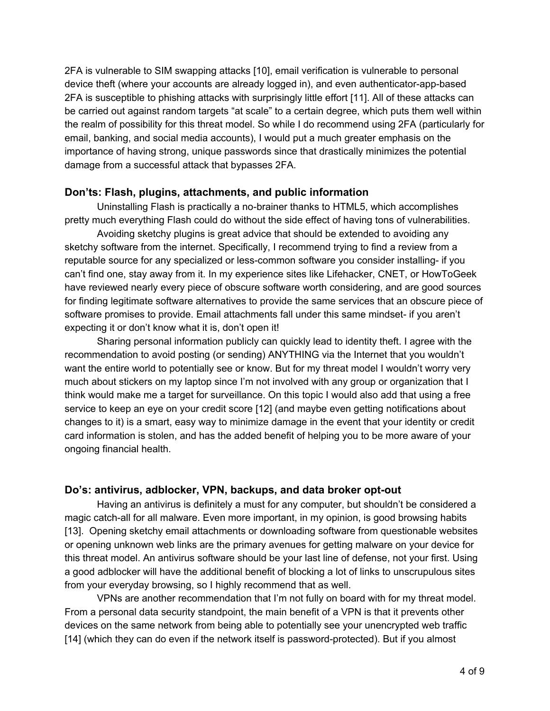2FA is vulnerable to SIM swapping attacks [10], email verification is vulnerable to personal device theft (where your accounts are already logged in), and even authenticator-app-based 2FA is susceptible to phishing attacks with surprisingly little effort [11]. All of these attacks can be carried out against random targets "at scale" to a certain degree, which puts them well within the realm of possibility for this threat model. So while I do recommend using 2FA (particularly for email, banking, and social media accounts), I would put a much greater emphasis on the importance of having strong, unique passwords since that drastically minimizes the potential damage from a successful attack that bypasses 2FA.

### **Don'ts: Flash, plugins, attachments, and public information**

Uninstalling Flash is practically a no-brainer thanks to HTML5, which accomplishes pretty much everything Flash could do without the side effect of having tons of vulnerabilities.

Avoiding sketchy plugins is great advice that should be extended to avoiding any sketchy software from the internet. Specifically, I recommend trying to find a review from a reputable source for any specialized or less-common software you consider installing- if you can't find one, stay away from it. In my experience sites like Lifehacker, CNET, or HowToGeek have reviewed nearly every piece of obscure software worth considering, and are good sources for finding legitimate software alternatives to provide the same services that an obscure piece of software promises to provide. Email attachments fall under this same mindset- if you aren't expecting it or don't know what it is, don't open it!

Sharing personal information publicly can quickly lead to identity theft. I agree with the recommendation to avoid posting (or sending) ANYTHING via the Internet that you wouldn't want the entire world to potentially see or know. But for my threat model I wouldn't worry very much about stickers on my laptop since I'm not involved with any group or organization that I think would make me a target for surveillance. On this topic I would also add that using a free service to keep an eye on your credit score [12] (and maybe even getting notifications about changes to it) is a smart, easy way to minimize damage in the event that your identity or credit card information is stolen, and has the added benefit of helping you to be more aware of your ongoing financial health.

### **Do's: antivirus, adblocker, VPN, backups, and data broker opt-out**

Having an antivirus is definitely a must for any computer, but shouldn't be considered a magic catch-all for all malware. Even more important, in my opinion, is good browsing habits [13]. Opening sketchy email attachments or downloading software from questionable websites or opening unknown web links are the primary avenues for getting malware on your device for this threat model. An antivirus software should be your last line of defense, not your first. Using a good adblocker will have the additional benefit of blocking a lot of links to unscrupulous sites from your everyday browsing, so I highly recommend that as well.

VPNs are another recommendation that I'm not fully on board with for my threat model. From a personal data security standpoint, the main benefit of a VPN is that it prevents other devices on the same network from being able to potentially see your unencrypted web traffic [14] (which they can do even if the network itself is password-protected). But if you almost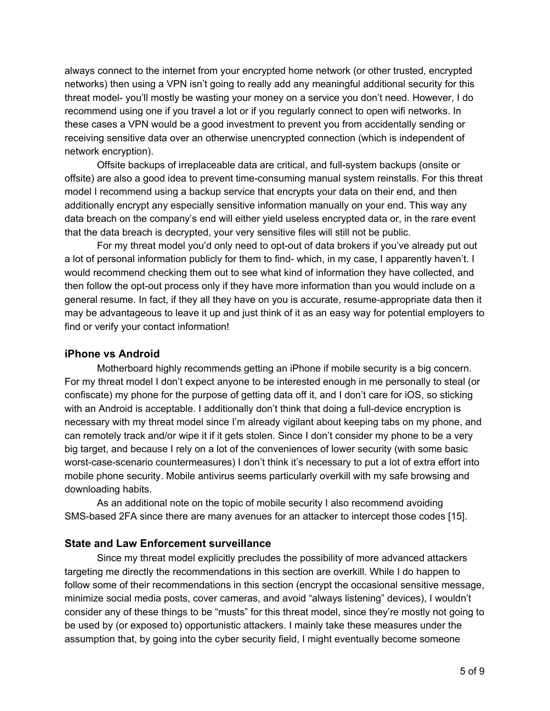always connect to the internet from your encrypted home network (or other trusted, encrypted networks) then using a VPN isn't going to really add any meaningful additional security for this threat model- you'll mostly be wasting your money on a service you don't need. However, I do recommend using one if you travel a lot or if you regularly connect to open wifi networks. In these cases a VPN would be a good investment to prevent you from accidentally sending or receiving sensitive data over an otherwise unencrypted connection (which is independent of network encryption).

Offsite backups of irreplaceable data are critical, and full-system backups (onsite or offsite) are also a good idea to prevent time-consuming manual system reinstalls. For this threat model I recommend using a backup service that encrypts your data on their end, and then additionally encrypt any especially sensitive information manually on your end. This way any data breach on the company's end will either yield useless encrypted data or, in the rare event that the data breach is decrypted, your very sensitive files will still not be public.

For my threat model you'd only need to opt-out of data brokers if you've already put out a lot of personal information publicly for them to find- which, in my case, I apparently haven't. I would recommend checking them out to see what kind of information they have collected, and then follow the opt-out process only if they have more information than you would include on a general resume. In fact, if they all they have on you is accurate, resume-appropriate data then it may be advantageous to leave it up and just think of it as an easy way for potential employers to find or verify your contact information!

### **iPhone vs Android**

Motherboard highly recommends getting an iPhone if mobile security is a big concern. For my threat model I don't expect anyone to be interested enough in me personally to steal (or confiscate) my phone for the purpose of getting data off it, and I don't care for iOS, so sticking with an Android is acceptable. I additionally don't think that doing a full-device encryption is necessary with my threat model since I'm already vigilant about keeping tabs on my phone, and can remotely track and/or wipe it if it gets stolen. Since I don't consider my phone to be a very big target, and because I rely on a lot of the conveniences of lower security (with some basic worst-case-scenario countermeasures) I don't think it's necessary to put a lot of extra effort into mobile phone security. Mobile antivirus seems particularly overkill with my safe browsing and downloading habits.

As an additional note on the topic of mobile security I also recommend avoiding SMS-based 2FA since there are many avenues for an attacker to intercept those codes [15].

### **State and Law Enforcement surveillance**

Since my threat model explicitly precludes the possibility of more advanced attackers targeting me directly the recommendations in this section are overkill. While I do happen to follow some of their recommendations in this section (encrypt the occasional sensitive message, minimize social media posts, cover cameras, and avoid "always listening" devices), I wouldn't consider any of these things to be "musts" for this threat model, since they're mostly not going to be used by (or exposed to) opportunistic attackers. I mainly take these measures under the assumption that, by going into the cyber security field, I might eventually become someone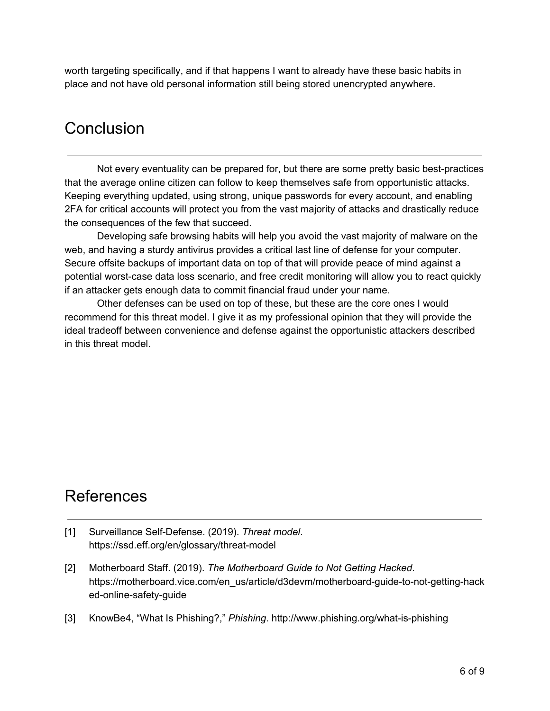worth targeting specifically, and if that happens I want to already have these basic habits in place and not have old personal information still being stored unencrypted anywhere.

# **Conclusion**

Not every eventuality can be prepared for, but there are some pretty basic best-practices that the average online citizen can follow to keep themselves safe from opportunistic attacks. Keeping everything updated, using strong, unique passwords for every account, and enabling 2FA for critical accounts will protect you from the vast majority of attacks and drastically reduce the consequences of the few that succeed.

Developing safe browsing habits will help you avoid the vast majority of malware on the web, and having a sturdy antivirus provides a critical last line of defense for your computer. Secure offsite backups of important data on top of that will provide peace of mind against a potential worst-case data loss scenario, and free credit monitoring will allow you to react quickly if an attacker gets enough data to commit financial fraud under your name.

Other defenses can be used on top of these, but these are the core ones I would recommend for this threat model. I give it as my professional opinion that they will provide the ideal tradeoff between convenience and defense against the opportunistic attackers described in this threat model.

# References

- [1] Surveillance Self-Defense. (2019). *Threat model*. https://ssd.eff.org/en/glossary/threat-model
- [2] Motherboard Staff. (2019). *The Motherboard Guide to Not Getting Hacked*. https://motherboard.vice.com/en\_us/article/d3devm/motherboard-guide-to-not-getting-hack ed-online-safety-guide
- [3] KnowBe4, "What Is Phishing?," *Phishing*. http://www.phishing.org/what-is-phishing